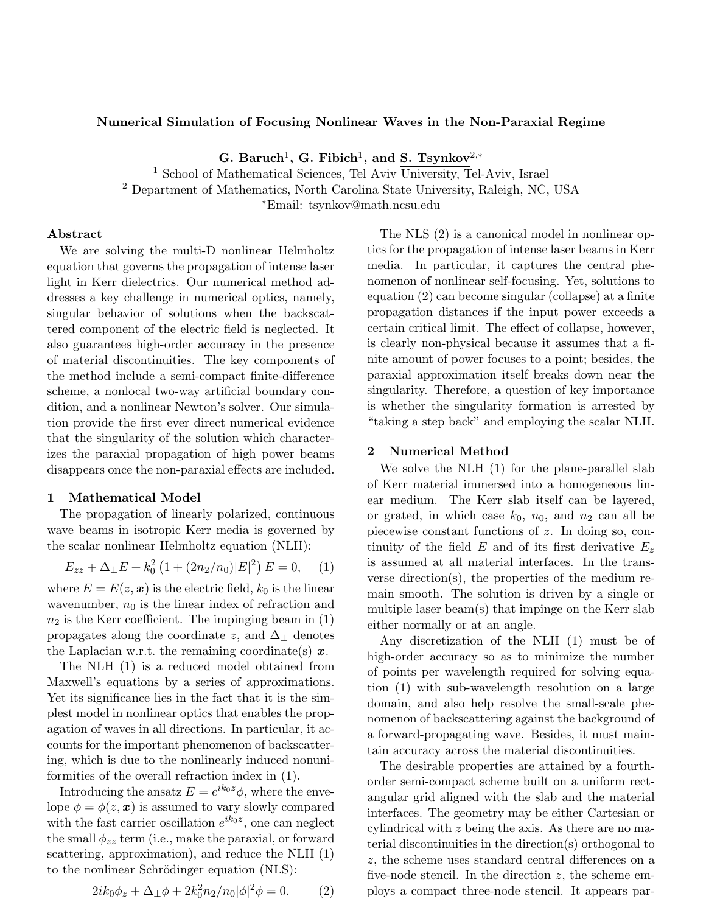### Numerical Simulation of Focusing Nonlinear Waves in the Non-Paraxial Regime

G. Baruch<sup>1</sup>, G. Fibich<sup>1</sup>, and S. Tsynkov<sup>2,\*</sup>

<sup>1</sup> School of Mathematical Sciences, Tel Aviv University, Tel-Aviv, Israel

<sup>2</sup> Department of Mathematics, North Carolina State University, Raleigh, NC, USA

<sup>∗</sup>Email: tsynkov@math.ncsu.edu

# Abstract

We are solving the multi-D nonlinear Helmholtz equation that governs the propagation of intense laser light in Kerr dielectrics. Our numerical method addresses a key challenge in numerical optics, namely, singular behavior of solutions when the backscattered component of the electric field is neglected. It also guarantees high-order accuracy in the presence of material discontinuities. The key components of the method include a semi-compact finite-difference scheme, a nonlocal two-way artificial boundary condition, and a nonlinear Newton's solver. Our simulation provide the first ever direct numerical evidence that the singularity of the solution which characterizes the paraxial propagation of high power beams disappears once the non-paraxial effects are included.

## 1 Mathematical Model

The propagation of linearly polarized, continuous wave beams in isotropic Kerr media is governed by the scalar nonlinear Helmholtz equation (NLH):

$$
E_{zz} + \Delta_{\perp} E + k_0^2 \left( 1 + (2n_2/n_0) |E|^2 \right) E = 0, \quad (1)
$$

where  $E = E(z, x)$  is the electric field,  $k_0$  is the linear wavenumber,  $n_0$  is the linear index of refraction and  $n_2$  is the Kerr coefficient. The impinging beam in  $(1)$ propagates along the coordinate z, and  $\Delta_{\perp}$  denotes the Laplacian w.r.t. the remaining coordinate(s)  $x$ .

The NLH (1) is a reduced model obtained from Maxwell's equations by a series of approximations. Yet its significance lies in the fact that it is the simplest model in nonlinear optics that enables the propagation of waves in all directions. In particular, it accounts for the important phenomenon of backscattering, which is due to the nonlinearly induced nonuniformities of the overall refraction index in (1).

Introducing the ansatz  $E = e^{ik_0 z} \phi$ , where the envelope  $\phi = \phi(z, x)$  is assumed to vary slowly compared with the fast carrier oscillation  $e^{ik_0z}$ , one can neglect the small  $\phi_{zz}$  term (i.e., make the paraxial, or forward scattering, approximation), and reduce the NLH (1) to the nonlinear Schrödinger equation (NLS):

$$
2ik_0\phi_z + \Delta_\perp \phi + 2k_0^2 n_2/n_0 |\phi|^2 \phi = 0.
$$
 (2)

The NLS (2) is a canonical model in nonlinear optics for the propagation of intense laser beams in Kerr media. In particular, it captures the central phenomenon of nonlinear self-focusing. Yet, solutions to equation (2) can become singular (collapse) at a finite propagation distances if the input power exceeds a certain critical limit. The effect of collapse, however, is clearly non-physical because it assumes that a finite amount of power focuses to a point; besides, the paraxial approximation itself breaks down near the singularity. Therefore, a question of key importance is whether the singularity formation is arrested by "taking a step back" and employing the scalar NLH.

### 2 Numerical Method

We solve the NLH (1) for the plane-parallel slab of Kerr material immersed into a homogeneous linear medium. The Kerr slab itself can be layered, or grated, in which case  $k_0$ ,  $n_0$ , and  $n_2$  can all be piecewise constant functions of z. In doing so, continuity of the field E and of its first derivative  $E_z$ is assumed at all material interfaces. In the transverse direction(s), the properties of the medium remain smooth. The solution is driven by a single or multiple laser beam(s) that impinge on the Kerr slab either normally or at an angle.

Any discretization of the NLH (1) must be of high-order accuracy so as to minimize the number of points per wavelength required for solving equation (1) with sub-wavelength resolution on a large domain, and also help resolve the small-scale phenomenon of backscattering against the background of a forward-propagating wave. Besides, it must maintain accuracy across the material discontinuities.

The desirable properties are attained by a fourthorder semi-compact scheme built on a uniform rectangular grid aligned with the slab and the material interfaces. The geometry may be either Cartesian or cylindrical with z being the axis. As there are no material discontinuities in the direction(s) orthogonal to z, the scheme uses standard central differences on a five-node stencil. In the direction  $z$ , the scheme employs a compact three-node stencil. It appears par